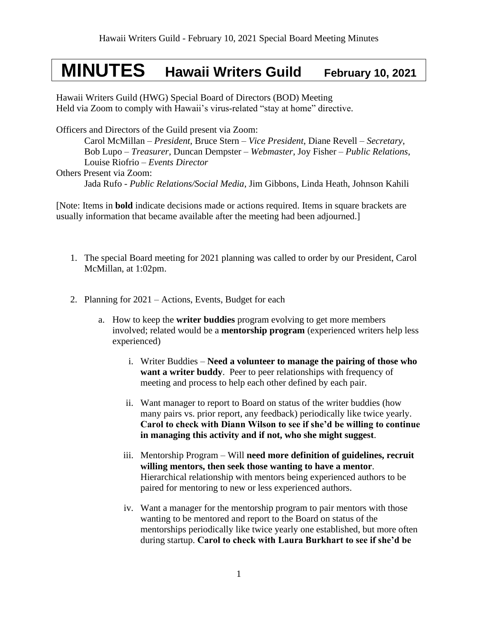## **MINUTES Hawaii Writers Guild February 10, 2021**

Hawaii Writers Guild (HWG) Special Board of Directors (BOD) Meeting Held via Zoom to comply with Hawaii's virus-related "stay at home" directive.

Officers and Directors of the Guild present via Zoom:

Carol McMillan – *President*, Bruce Stern – *Vice President*, Diane Revell – *Secretary*, Bob Lupo – *Treasurer,* Duncan Dempster – *Webmaster*, Joy Fisher – *Public Relations*, Louise Riofrio – *Events Director* Others Present via Zoom:

Jada Rufo - *Public Relations/Social Media*, Jim Gibbons, Linda Heath, Johnson Kahili

[Note: Items in **bold** indicate decisions made or actions required. Items in square brackets are usually information that became available after the meeting had been adjourned.]

- 1. The special Board meeting for 2021 planning was called to order by our President, Carol McMillan, at 1:02pm.
- 2. Planning for 2021 Actions, Events, Budget for each
	- a. How to keep the **writer buddies** program evolving to get more members involved; related would be a **mentorship program** (experienced writers help less experienced)
		- i. Writer Buddies **Need a volunteer to manage the pairing of those who want a writer buddy**. Peer to peer relationships with frequency of meeting and process to help each other defined by each pair.
		- ii. Want manager to report to Board on status of the writer buddies (how many pairs vs. prior report, any feedback) periodically like twice yearly. **Carol to check with Diann Wilson to see if she'd be willing to continue in managing this activity and if not, who she might suggest**.
		- iii. Mentorship Program Will **need more definition of guidelines, recruit willing mentors, then seek those wanting to have a mentor**. Hierarchical relationship with mentors being experienced authors to be paired for mentoring to new or less experienced authors.
		- iv. Want a manager for the mentorship program to pair mentors with those wanting to be mentored and report to the Board on status of the mentorships periodically like twice yearly one established, but more often during startup. **Carol to check with Laura Burkhart to see if she'd be**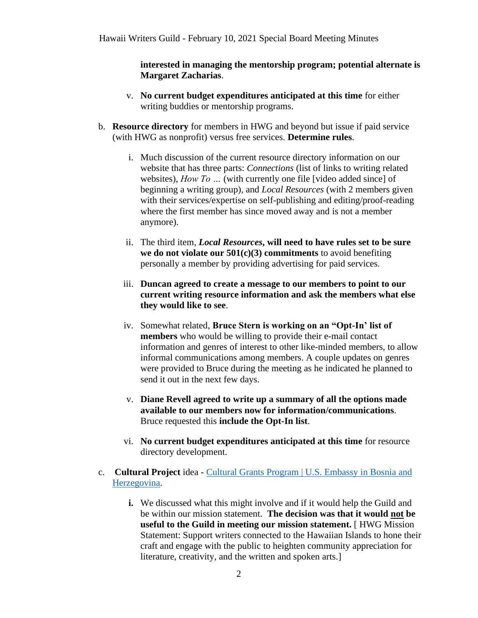**interested in managing the mentorship program; potential alternate is Margaret Zacharias**.

- v. **No current budget expenditures anticipated at this time** for either writing buddies or mentorship programs.
- b. **Resource directory** for members in HWG and beyond but issue if paid service (with HWG as nonprofit) versus free services. **Determine rules**.
	- i. Much discussion of the current resource directory information on our website that has three parts: *Connections* (list of links to writing related websites), *How To …* (with currently one file [video added since] of beginning a writing group), and *Local Resources* (with 2 members given with their services/expertise on self-publishing and editing/proof-reading where the first member has since moved away and is not a member anymore).
	- ii. The third item, *Local Resources***, will need to have rules set to be sure we do not violate our 501(c)(3) commitments** to avoid benefiting personally a member by providing advertising for paid services.
	- iii. **Duncan agreed to create a message to our members to point to our current writing resource information and ask the members what else they would like to see**.
	- iv. Somewhat related, **Bruce Stern is working on an "Opt-In' list of members** who would be willing to provide their e-mail contact information and genres of interest to other like-minded members, to allow informal communications among members. A couple updates on genres were provided to Bruce during the meeting as he indicated he planned to send it out in the next few days.
	- v. **Diane Revell agreed to write up a summary of all the options made available to our members now for information/communications**. Bruce requested this **include the Opt-In list**.
	- vi. **No current budget expenditures anticipated at this time** for resource directory development.
- c. **Cultural Project** idea [Cultural Grants Program | U.S. Embassy in Bosnia and](https://ba.usembassy.gov/education-culture/grant-opportunities/cultural-grants-program/)  [Herzegovina.](https://ba.usembassy.gov/education-culture/grant-opportunities/cultural-grants-program/)
	- **i.** We discussed what this might involve and if it would help the Guild and be within our mission statement. **The decision was that it would not be useful to the Guild in meeting our mission statement.** [ HWG Mission Statement: Support writers connected to the Hawaiian Islands to hone their craft and engage with the public to heighten community appreciation for literature, creativity, and the written and spoken arts.]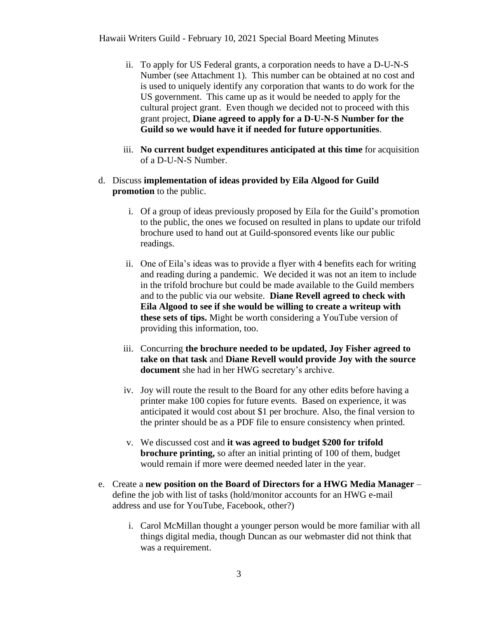- ii. To apply for US Federal grants, a corporation needs to have a D-U-N-S Number (see Attachment 1). This number can be obtained at no cost and is used to uniquely identify any corporation that wants to do work for the US government. This came up as it would be needed to apply for the cultural project grant. Even though we decided not to proceed with this grant project, **Diane agreed to apply for a D-U-N-S Number for the Guild so we would have it if needed for future opportunities**.
- iii. **No current budget expenditures anticipated at this time** for acquisition of a D-U-N-S Number.
- d. Discuss **implementation of ideas provided by Eila Algood for Guild promotion** to the public.
	- i. Of a group of ideas previously proposed by Eila for the Guild's promotion to the public, the ones we focused on resulted in plans to update our trifold brochure used to hand out at Guild-sponsored events like our public readings.
	- ii. One of Eila's ideas was to provide a flyer with 4 benefits each for writing and reading during a pandemic. We decided it was not an item to include in the trifold brochure but could be made available to the Guild members and to the public via our website. **Diane Revell agreed to check with Eila Algood to see if she would be willing to create a writeup with these sets of tips.** Might be worth considering a YouTube version of providing this information, too.
	- iii. Concurring **the brochure needed to be updated, Joy Fisher agreed to take on that task** and **Diane Revell would provide Joy with the source document** she had in her HWG secretary's archive.
	- iv. Joy will route the result to the Board for any other edits before having a printer make 100 copies for future events. Based on experience, it was anticipated it would cost about \$1 per brochure. Also, the final version to the printer should be as a PDF file to ensure consistency when printed.
	- v. We discussed cost and **it was agreed to budget \$200 for trifold brochure printing,** so after an initial printing of 100 of them, budget would remain if more were deemed needed later in the year.
- e. Create a **new position on the Board of Directors for a HWG Media Manager** define the job with list of tasks (hold/monitor accounts for an HWG e-mail address and use for YouTube, Facebook, other?)
	- i. Carol McMillan thought a younger person would be more familiar with all things digital media, though Duncan as our webmaster did not think that was a requirement.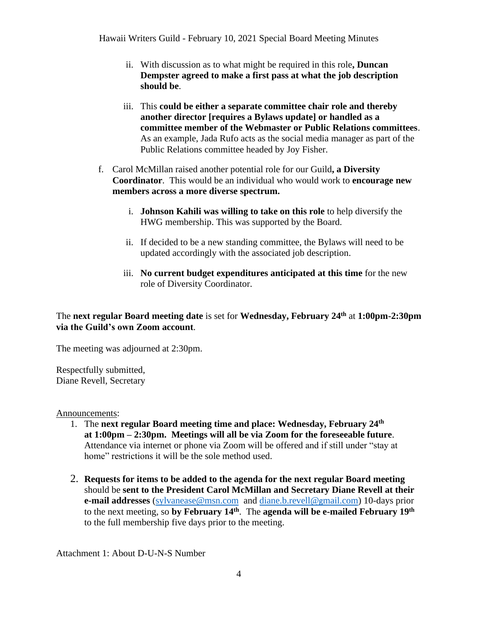Hawaii Writers Guild - February 10, 2021 Special Board Meeting Minutes

- ii. With discussion as to what might be required in this role**, Duncan Dempster agreed to make a first pass at what the job description should be**.
- iii. This **could be either a separate committee chair role and thereby another director [requires a Bylaws update] or handled as a committee member of the Webmaster or Public Relations committees**. As an example, Jada Rufo acts as the social media manager as part of the Public Relations committee headed by Joy Fisher.
- f. Carol McMillan raised another potential role for our Guild**, a Diversity Coordinator**. This would be an individual who would work to **encourage new members across a more diverse spectrum.** 
	- i. **Johnson Kahili was willing to take on this role** to help diversify the HWG membership. This was supported by the Board.
	- ii. If decided to be a new standing committee, the Bylaws will need to be updated accordingly with the associated job description.
	- iii. **No current budget expenditures anticipated at this time** for the new role of Diversity Coordinator.

## The **next regular Board meeting date** is set for **Wednesday, February 24 th** at **1:00pm-2:30pm via the Guild's own Zoom account**.

The meeting was adjourned at 2:30pm.

Respectfully submitted, Diane Revell, Secretary

Announcements:

- 1. The **next regular Board meeting time and place: Wednesday, February 24 th at 1:00pm – 2:30pm. Meetings will all be via Zoom for the foreseeable future**. Attendance via internet or phone via Zoom will be offered and if still under "stay at home" restrictions it will be the sole method used.
- 2. **Requests for items to be added to the agenda for the next regular Board meeting** should be **sent to the President Carol McMillan and Secretary Diane Revell at their e-mail addresses** [\(sylvanease@msn.com](mailto:sylvanease@msn.com) and [diane.b.revell@](mailto:diane.b.revell@gmail.com)gmail.com) 10-days prior to the next meeting, so by February 14<sup>th</sup>. The agenda will be e-mailed February 19<sup>th</sup> to the full membership five days prior to the meeting.

Attachment 1: About D-U-N-S Number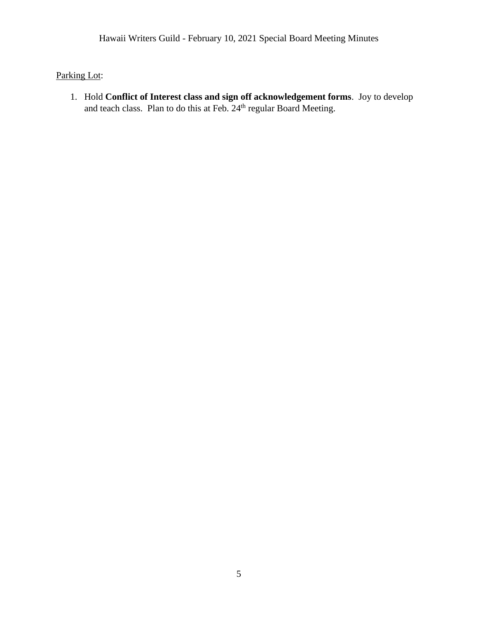## Parking Lot:

1. Hold **Conflict of Interest class and sign off acknowledgement forms**. Joy to develop and teach class. Plan to do this at Feb. 24<sup>th</sup> regular Board Meeting.